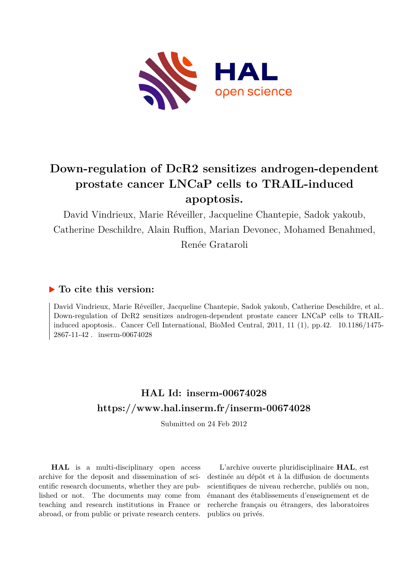

# **Down-regulation of DcR2 sensitizes androgen-dependent prostate cancer LNCaP cells to TRAIL-induced apoptosis.**

David Vindrieux, Marie Réveiller, Jacqueline Chantepie, Sadok yakoub, Catherine Deschildre, Alain Ruffion, Marian Devonec, Mohamed Benahmed, Renée Grataroli

## **To cite this version:**

David Vindrieux, Marie Réveiller, Jacqueline Chantepie, Sadok yakoub, Catherine Deschildre, et al.. Down-regulation of DcR2 sensitizes androgen-dependent prostate cancer LNCaP cells to TRAILinduced apoptosis.. Cancer Cell International, BioMed Central, 2011, 11 (1), pp.42.  $10.1186/1475-$ 2867-11-42. inserm-00674028

## **HAL Id: inserm-00674028 <https://www.hal.inserm.fr/inserm-00674028>**

Submitted on 24 Feb 2012

**HAL** is a multi-disciplinary open access archive for the deposit and dissemination of scientific research documents, whether they are published or not. The documents may come from teaching and research institutions in France or abroad, or from public or private research centers.

L'archive ouverte pluridisciplinaire **HAL**, est destinée au dépôt et à la diffusion de documents scientifiques de niveau recherche, publiés ou non, émanant des établissements d'enseignement et de recherche français ou étrangers, des laboratoires publics ou privés.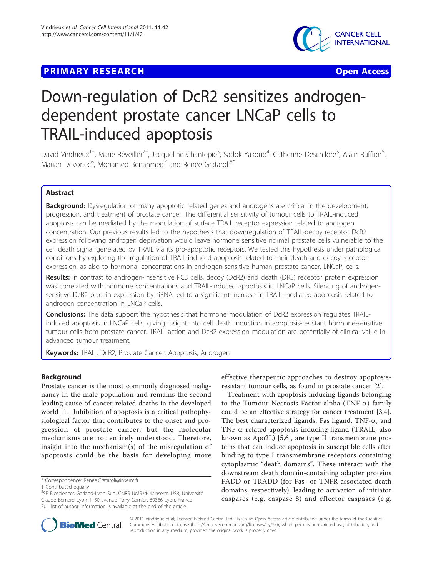### **PRIMARY RESEARCH Open Access**



# Down-regulation of DcR2 sensitizes androgendependent prostate cancer LNCaP cells to TRAIL-induced apoptosis

David Vindrieux<sup>1+</sup>, Marie Réveiller<sup>2†</sup>, Jacqueline Chantepie<sup>3</sup>, Sadok Yakoub<sup>4</sup>, Catherine Deschildre<sup>5</sup>, Alain Ruffion<sup>6</sup> , Marian Devonec<sup>6</sup>, Mohamed Benahmed<sup>7</sup> and Renée Grataroli<sup>8\*</sup>

#### Abstract

**Background:** Dysregulation of many apoptotic related genes and androgens are critical in the development, progression, and treatment of prostate cancer. The differential sensitivity of tumour cells to TRAIL-induced apoptosis can be mediated by the modulation of surface TRAIL receptor expression related to androgen concentration. Our previous results led to the hypothesis that downregulation of TRAIL-decoy receptor DcR2 expression following androgen deprivation would leave hormone sensitive normal prostate cells vulnerable to the cell death signal generated by TRAIL via its pro-apoptotic receptors. We tested this hypothesis under pathological conditions by exploring the regulation of TRAIL-induced apoptosis related to their death and decoy receptor expression, as also to hormonal concentrations in androgen-sensitive human prostate cancer, LNCaP, cells.

Results: In contrast to androgen-insensitive PC3 cells, decoy (DcR2) and death (DR5) receptor protein expression was correlated with hormone concentrations and TRAIL-induced apoptosis in LNCaP cells. Silencing of androgensensitive DcR2 protein expression by siRNA led to a significant increase in TRAIL-mediated apoptosis related to androgen concentration in LNCaP cells.

**Conclusions:** The data support the hypothesis that hormone modulation of DcR2 expression regulates TRAILinduced apoptosis in LNCaP cells, giving insight into cell death induction in apoptosis-resistant hormone-sensitive tumour cells from prostate cancer. TRAIL action and DcR2 expression modulation are potentially of clinical value in advanced tumour treatment.

Keywords: TRAIL, DcR2, Prostate Cancer, Apoptosis, Androgen

#### Background

Prostate cancer is the most commonly diagnosed malignancy in the male population and remains the second leading cause of cancer-related deaths in the developed world [[1](#page-13-0)]. Inhibition of apoptosis is a critical pathophysiological factor that contributes to the onset and progression of prostate cancer, but the molecular mechanisms are not entirely understood. Therefore, insight into the mechanism(s) of the misregulation of apoptosis could be the basis for developing more

effective therapeutic approaches to destroy apoptosisresistant tumour cells, as found in prostate cancer [[2](#page-13-0)].

Treatment with apoptosis-inducing ligands belonging to the Tumour Necrosis Factor-alpha (TNF- $\alpha$ ) family could be an effective strategy for cancer treatment [\[3,4](#page-13-0)]. The best characterized ligands, Fas ligand, TNF- $\alpha$ , and TNF-a-related apoptosis-inducing ligand (TRAIL, also known as Apo2L) [\[5,6](#page-13-0)], are type II transmembrane proteins that can induce apoptosis in susceptible cells after binding to type I transmembrane receptors containing cytoplasmic "death domains". These interact with the downstream death domain-containing adapter proteins FADD or TRADD (for Fas- or TNFR-associated death domains, respectively), leading to activation of initiator caspases (e.g. caspase 8) and effector caspases (e.g.



© 2011 Vindrieux et al; licensee BioMed Central Ltd. This is an Open Access article distributed under the terms of the Creative Commons Attribution License [\(http://creativecommons.org/licenses/by/2.0](http://creativecommons.org/licenses/by/2.0)), which permits unrestricted use, distribution, and reproduction in any medium, provided the original work is properly cited.

<sup>\*</sup> Correspondence: [Renee.Grataroli@inserm.fr](mailto:Renee.Grataroli@inserm.fr)

<sup>†</sup> Contributed equally

<sup>&</sup>lt;sup>8</sup>SF Biosciences Gerland-Lyon Sud, CNRS UMS3444/Inserm US8, Université Claude Bernard Lyon 1, 50 avenue Tony Garnier, 69366 Lyon, France Full list of author information is available at the end of the article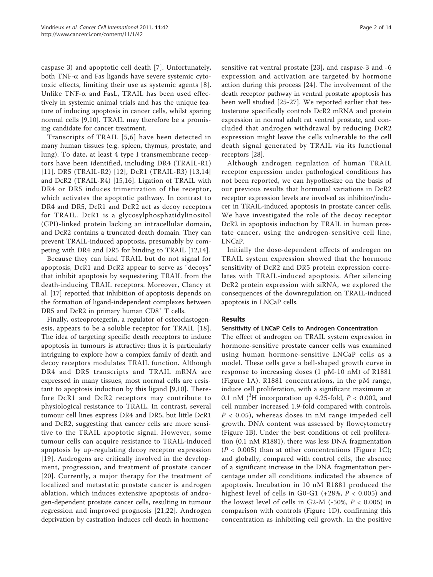caspase 3) and apoptotic cell death [[7\]](#page-13-0). Unfortunately, both TNF- $\alpha$  and Fas ligands have severe systemic cytotoxic effects, limiting their use as systemic agents [[8](#page-13-0)]. Unlike  $TNF-\alpha$  and FasL, TRAIL has been used effectively in systemic animal trials and has the unique feature of inducing apoptosis in cancer cells, whilst sparing normal cells [\[9](#page-13-0),[10\]](#page-13-0). TRAIL may therefore be a promising candidate for cancer treatment.

Transcripts of TRAIL [[5,6\]](#page-13-0) have been detected in many human tissues (e.g. spleen, thymus, prostate, and lung). To date, at least 4 type I transmembrane receptors have been identified, including DR4 (TRAIL-R1) [[11](#page-13-0)], DR5 (TRAIL-R2) [[12](#page-13-0)], DcR1 (TRAIL-R3) [[13,14](#page-13-0)] and DcR2 (TRAIL-R4) [[15,16](#page-13-0)]. Ligation of TRAIL with DR4 or DR5 induces trimerization of the receptor, which activates the apoptotic pathway. In contrast to DR4 and DR5, DcR1 and DcR2 act as decoy receptors for TRAIL. DcR1 is a glycosylphosphatidylinositol (GPI)-linked protein lacking an intracellular domain, and DcR2 contains a truncated death domain. They can prevent TRAIL-induced apoptosis, presumably by competing with DR4 and DR5 for binding to TRAIL [[12,14\]](#page-13-0).

Because they can bind TRAIL but do not signal for apoptosis, DcR1 and DcR2 appear to serve as "decoys" that inhibit apoptosis by sequestering TRAIL from the death-inducing TRAIL receptors. Moreover, Clancy et al. [\[17](#page-13-0)] reported that inhibition of apoptosis depends on the formation of ligand-independent complexes between DR5 and DcR2 in primary human CD8<sup>+</sup> T cells.

Finally, osteoprotegerin, a regulator of osteoclastogenesis, appears to be a soluble receptor for TRAIL [[18\]](#page-13-0). The idea of targeting specific death receptors to induce apoptosis in tumours is attractive; thus it is particularly intriguing to explore how a complex family of death and decoy receptors modulates TRAIL function. Although DR4 and DR5 transcripts and TRAIL mRNA are expressed in many tissues, most normal cells are resistant to apoptosis induction by this ligand [[9](#page-13-0),[10\]](#page-13-0). Therefore DcR1 and DcR2 receptors may contribute to physiological resistance to TRAIL. In contrast, several tumour cell lines express DR4 and DR5, but little DcR1 and DcR2, suggesting that cancer cells are more sensitive to the TRAIL apoptotic signal. However, some tumour cells can acquire resistance to TRAIL-induced apoptosis by up-regulating decoy receptor expression [[19](#page-13-0)]. Androgens are critically involved in the development, progression, and treatment of prostate cancer [[20\]](#page-13-0). Currently, a major therapy for the treatment of localized and metastatic prostate cancer is androgen ablation, which induces extensive apoptosis of androgen-dependent prostate cancer cells, resulting in tumour regression and improved prognosis [[21](#page-13-0),[22\]](#page-13-0). Androgen deprivation by castration induces cell death in hormonesensitive rat ventral prostate [[23\]](#page-13-0), and caspase-3 and -6 expression and activation are targeted by hormone action during this process [[24\]](#page-13-0). The involvement of the death receptor pathway in ventral prostate apoptosis has been well studied [[25-27](#page-14-0)]. We reported earlier that testosterone specifically controls DcR2 mRNA and protein expression in normal adult rat ventral prostate, and concluded that androgen withdrawal by reducing DcR2 expression might leave the cells vulnerable to the cell death signal generated by TRAIL via its functional receptors [[28\]](#page-14-0).

Although androgen regulation of human TRAIL receptor expression under pathological conditions has not been reported, we can hypothesize on the basis of our previous results that hormonal variations in DcR2 receptor expression levels are involved as inhibitor/inducer in TRAIL-induced apoptosis in prostate cancer cells. We have investigated the role of the decoy receptor DcR2 in apoptosis induction by TRAIL in human prostate cancer, using the androgen-sensitive cell line, LNCaP.

Initially the dose-dependent effects of androgen on TRAIL system expression showed that the hormone sensitivity of DcR2 and DR5 protein expression correlates with TRAIL-induced apoptosis. After silencing DcR2 protein expression with siRNA, we explored the consequences of the downregulation on TRAIL-induced apoptosis in LNCaP cells.

#### Results

#### Sensitivity of LNCaP Cells to Androgen Concentration

The effect of androgen on TRAIL system expression in hormone-sensitive prostate cancer cells was examined using human hormone-sensitive LNCaP cells as a model. These cells gave a bell-shaped growth curve in response to increasing doses (1 pM-10 nM) of R1881 (Figure [1A](#page-3-0)). R1881 concentrations, in the pM range, induce cell proliferation, with a significant maximum at 0.1 nM  $({}^{3}H$  incorporation up 4.25-fold,  $P < 0.002$ , and cell number increased 1.9-fold compared with controls,  $P < 0.05$ ), whereas doses in nM range impeded cell growth. DNA content was assessed by flowcytometry (Figure [1B](#page-3-0)). Under the best conditions of cell proliferation (0.1 nM R1881), there was less DNA fragmentation  $(P < 0.005)$  than at other concentrations (Figure [1C\)](#page-3-0); and globally, compared with control cells, the absence of a significant increase in the DNA fragmentation percentage under all conditions indicated the absence of apoptosis. Incubation in 10 nM R1881 produced the highest level of cells in G0-G1 (+28%,  $P < 0.005$ ) and the lowest level of cells in G2-M (-50%,  $P < 0.005$ ) in comparison with controls (Figure [1D\)](#page-3-0), confirming this concentration as inhibiting cell growth. In the positive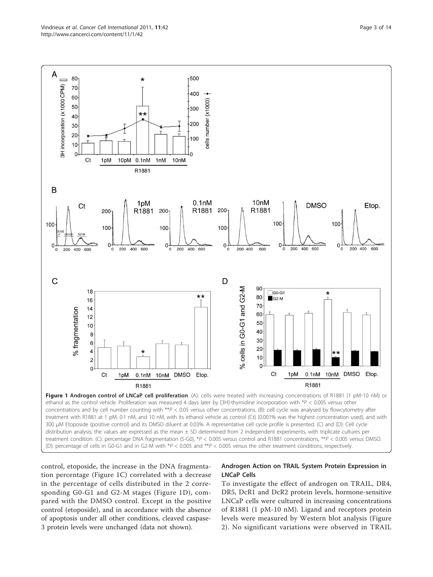<span id="page-3-0"></span>

control, etoposide, the increase in the DNA fragmentation percentage (Figure 1C) correlated with a decrease in the percentage of cells distributed in the 2 corresponding G0-G1 and G2-M stages (Figure 1D), compared with the DMSO control. Except in the positive control (etoposide), and in accordance with the absence of apoptosis under all other conditions, cleaved caspase-3 protein levels were unchanged (data not shown).

#### Androgen Action on TRAIL System Protein Expression in LNCaP Cells

To investigate the effect of androgen on TRAIL, DR4, DR5, DcR1 and DcR2 protein levels, hormone-sensitive LNCaP cells were cultured in increasing concentrations of R1881 (1 pM-10 nM). Ligand and receptors protein levels were measured by Western blot analysis (Figure [2\)](#page-5-0). No significant variations were observed in TRAIL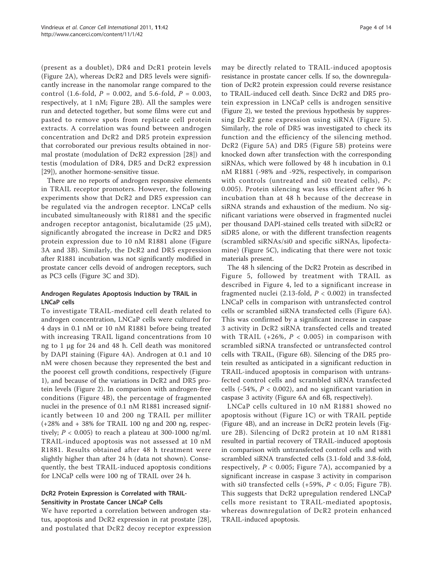(present as a doublet), DR4 and DcR1 protein levels (Figure [2A](#page-5-0)), whereas DcR2 and DR5 levels were significantly increase in the nanomolar range compared to the control (1.6-fold,  $P = 0.002$ , and 5.6-fold,  $P = 0.003$ , respectively, at 1 nM; Figure [2B\)](#page-5-0). All the samples were run and detected together, but some films were cut and pasted to remove spots from replicate cell protein extracts. A correlation was found between androgen concentration and DcR2 and DR5 protein expression that corroborated our previous results obtained in normal prostate (modulation of DcR2 expression [\[28](#page-14-0)]) and testis (modulation of DR4, DR5 and DcR2 expression [[29\]](#page-14-0)), another hormone-sensitive tissue.

There are no reports of androgen responsive elements in TRAIL receptor promoters. However, the following experiments show that DcR2 and DR5 expression can be regulated via the androgen receptor. LNCaP cells incubated simultaneously with R1881 and the specific androgen receptor antagonist, bicalutamide (25  $\mu$ M), significantly abrogated the increase in DcR2 and DR5 protein expression due to 10 nM R1881 alone (Figure [3A](#page-6-0) and [3B\)](#page-6-0). Similarly, the DcR2 and DR5 expression after R1881 incubation was not significantly modified in prostate cancer cells devoid of androgen receptors, such as PC3 cells (Figure [3C](#page-6-0) and [3D](#page-6-0)).

#### Androgen Regulates Apoptosis Induction by TRAIL in LNCaP cells

To investigate TRAIL-mediated cell death related to androgen concentration, LNCaP cells were cultured for 4 days in 0.1 nM or 10 nM R1881 before being treated with increasing TRAIL ligand concentrations from 10 ng to 1 μg for 24 and 48 h. Cell death was monitored by DAPI staining (Figure [4A\)](#page-7-0). Androgen at 0.1 and 10 nM were chosen because they represented the best and the poorest cell growth conditions, respectively (Figure [1\)](#page-3-0), and because of the variations in DcR2 and DR5 protein levels (Figure [2\)](#page-5-0). In comparison with androgen-free conditions (Figure [4B\)](#page-7-0), the percentage of fragmented nuclei in the presence of 0.1 nM R1881 increased significantly between 10 and 200 ng TRAIL per milliter (+28% and + 38% for TRAIL 100 ng and 200 ng, respectively;  $P < 0.005$ ) to reach a plateau at 300-1000 ng/ml. TRAIL-induced apoptosis was not assessed at 10 nM R1881. Results obtained after 48 h treatment were slightly higher than after 24 h (data not shown). Consequently, the best TRAIL-induced apoptosis conditions for LNCaP cells were 100 ng of TRAIL over 24 h.

#### DcR2 Protein Expression is Correlated with TRAIL-Sensitivity in Prostate Cancer LNCaP Cells

We have reported a correlation between androgen status, apoptosis and DcR2 expression in rat prostate [\[28](#page-14-0)], and postulated that DcR2 decoy receptor expression may be directly related to TRAIL-induced apoptosis resistance in prostate cancer cells. If so, the downregulation of DcR2 protein expression could reverse resistance to TRAIL-induced cell death. Since DcR2 and DR5 protein expression in LNCaP cells is androgen sensitive (Figure [2\)](#page-5-0), we tested the previous hypothesis by suppressing DcR2 gene expression using siRNA (Figure [5\)](#page-8-0). Similarly, the role of DR5 was investigated to check its function and the efficiency of the silencing method. DcR2 (Figure [5A](#page-8-0)) and DR5 (Figure [5B\)](#page-8-0) proteins were knocked down after transfection with the corresponding siRNAs, which were followed by 48 h incubation in 0.1 nM R1881 (-98% and -92%, respectively, in comparison with controls (untreated and si0 treated cells), P< 0.005). Protein silencing was less efficient after 96 h incubation than at 48 h because of the decrease in siRNA strands and exhaustion of the medium. No significant variations were observed in fragmented nuclei

per thousand DAPI-stained cells treated with siDcR2 or siDR5 alone, or with the different transfection reagents (scrambled siRNAs/si0 and specific siRNAs, lipofectamine) (Figure [5C\)](#page-8-0), indicating that there were not toxic materials present. The 48 h silencing of the DcR2 Protein as described in

Figure [5](#page-8-0), followed by treatment with TRAIL as described in Figure [4,](#page-7-0) led to a significant increase in fragmented nuclei (2.13-fold,  $P < 0.002$ ) in transfected LNCaP cells in comparison with untransfected control cells or scrambled siRNA transfected cells (Figure [6A](#page-9-0)). This was confirmed by a significant increase in caspase 3 activity in DcR2 siRNA transfected cells and treated with TRAIL (+26%,  $P < 0.005$ ) in comparison with scrambled siRNA transfected or untransfected control cells with TRAIL, (Figure [6B](#page-9-0)). Silencing of the DR5 protein resulted as anticipated in a significant reduction in TRAIL-induced apoptosis in comparison with untransfected control cells and scrambled siRNA transfected cells (-54%,  $P < 0.002$ ), and no significant variation in caspase 3 activity (Figure [6A](#page-9-0) and [6B,](#page-9-0) respectively).

LNCaP cells cultured in 10 nM R1881 showed no apoptosis without (Figure [1C\)](#page-3-0) or with TRAIL peptide (Figure [4B\)](#page-7-0), and an increase in DcR2 protein levels (Figure [2B\)](#page-5-0). Silencing of DcR2 protein at 10 nM R1881 resulted in partial recovery of TRAIL-induced apoptosis in comparison with untransfected control cells and with scrambled siRNA transfected cells (3.1-fold and 3.8-fold, respectively,  $P < 0.005$ ; Figure [7A](#page-10-0)), accompanied by a significant increase in caspase 3 activity in comparison with si0 transfected cells  $(+59\%, P < 0.05;$  Figure [7B\)](#page-10-0). This suggests that DcR2 upregulation rendered LNCaP cells more resistant to TRAIL-mediated apoptosis, whereas downregulation of DcR2 protein enhanced TRAIL-induced apoptosis.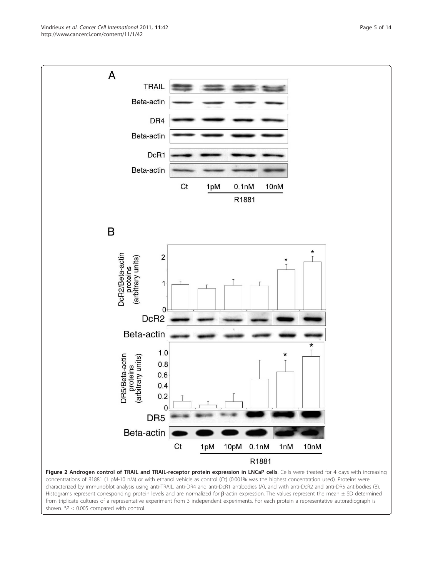<span id="page-5-0"></span>Vindrieux et al. Cancer Cell International 2011, 11:42 http://www.cancerci.com/content/11/1/42



concentrations of R1881 (1 pM-10 nM) or with ethanol vehicle as control (Ct) (0.001% was the highest concentration used). Proteins were characterized by immunoblot analysis using anti-TRAIL, anti-DR4 and anti-DcR1 antibodies (A), and with anti-DcR2 and anti-DR5 antibodies (B). Histograms represent corresponding protein levels and are normalized for  $\beta$ -actin expression. The values represent the mean  $\pm$  SD determined from triplicate cultures of a representative experiment from 3 independent experiments. For each protein a representative autoradiograph is shown. \**P* < 0.005 compared with control.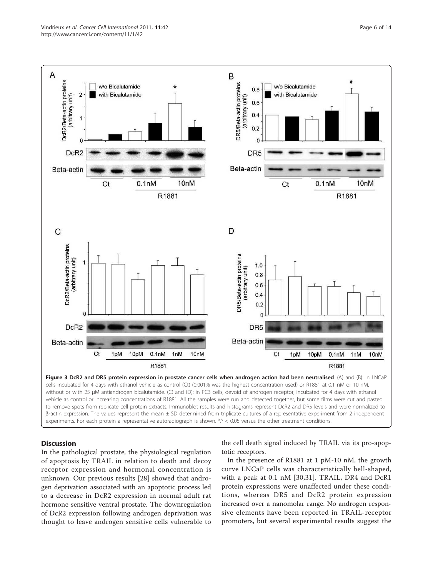<span id="page-6-0"></span>

to remove spots from replicate cell protein extracts. Immunoblot results and histograms represent DcR2 and DR5 levels and were normalized to  $\beta$ -actin expression. The values represent the mean  $\pm$  SD determined from triplicate cultures of a representative experiment from 2 independent experiments. For each protein a representative autoradiograph is shown. \**P* < 0.05 versus the other treatment conditions.

#### **Discussion**

In the pathological prostate, the physiological regulation of apoptosis by TRAIL in relation to death and decoy receptor expression and hormonal concentration is unknown. Our previous results [[28\]](#page-14-0) showed that androgen deprivation associated with an apoptotic process led to a decrease in DcR2 expression in normal adult rat hormone sensitive ventral prostate. The downregulation of DcR2 expression following androgen deprivation was thought to leave androgen sensitive cells vulnerable to the cell death signal induced by TRAIL via its pro-apoptotic receptors.

In the presence of R1881 at 1 pM-10 nM, the growth curve LNCaP cells was characteristically bell-shaped, with a peak at 0.1 nM [\[30,31](#page-14-0)]. TRAIL, DR4 and DcR1 protein expressions were unaffected under these conditions, whereas DR5 and DcR2 protein expression increased over a nanomolar range. No androgen responsive elements have been reported in TRAIL-receptor promoters, but several experimental results suggest the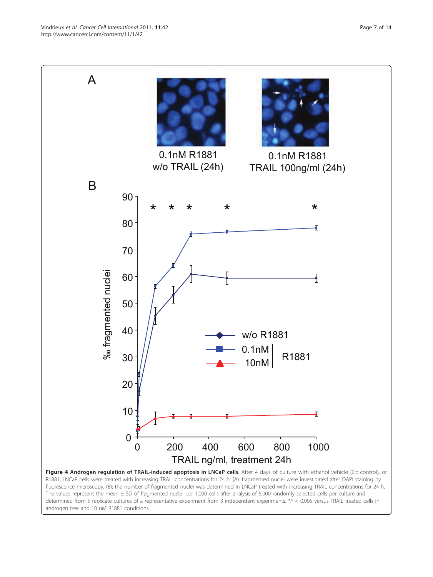<span id="page-7-0"></span>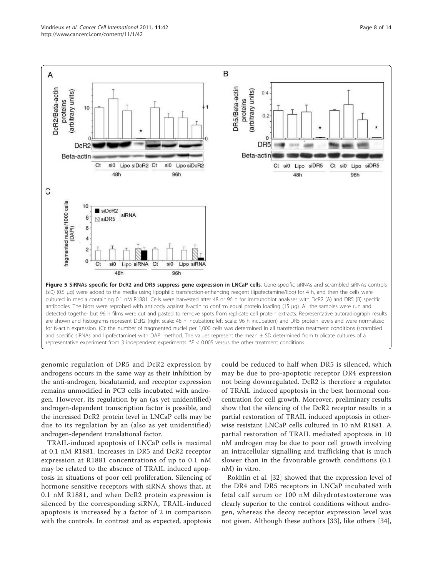<span id="page-8-0"></span>

genomic regulation of DR5 and DcR2 expression by androgens occurs in the same way as their inhibition by the anti-androgen, bicalutamid, and receptor expression remains unmodified in PC3 cells incubated with androgen. However, its regulation by an (as yet unidentified) androgen-dependent transcription factor is possible, and the increased DcR2 protein level in LNCaP cells may be due to its regulation by an (also as yet unidentified) androgen-dependent translational factor.

TRAIL-induced apoptosis of LNCaP cells is maximal at 0.1 nM R1881. Increases in DR5 and DcR2 receptor expression at R1881 concentrations of up to 0.1 nM may be related to the absence of TRAIL induced apoptosis in situations of poor cell proliferation. Silencing of hormone sensitive receptors with siRNA shows that, at 0.1 nM R1881, and when DcR2 protein expression is silenced by the corresponding siRNA, TRAIL-induced apoptosis is increased by a factor of 2 in comparison with the controls. In contrast and as expected, apoptosis could be reduced to half when DR5 is silenced, which may be due to pro-apoptotic receptor DR4 expression not being downregulated. DcR2 is therefore a regulator of TRAIL induced apoptosis in the best hormonal concentration for cell growth. Moreover, preliminary results show that the silencing of the DcR2 receptor results in a partial restoration of TRAIL induced apoptosis in otherwise resistant LNCaP cells cultured in 10 nM R1881. A partial restoration of TRAIL mediated apoptosis in 10 nM androgen may be due to poor cell growth involving an intracellular signalling and trafficking that is much slower than in the favourable growth conditions (0.1 nM) in vitro.

Rokhlin et al. [[32\]](#page-14-0) showed that the expression level of the DR4 and DR5 receptors in LNCaP incubated with fetal calf serum or 100 nM dihydrotestosterone was clearly superior to the control conditions without androgen, whereas the decoy receptor expression level was not given. Although these authors [\[33\]](#page-14-0), like others [\[34](#page-14-0)],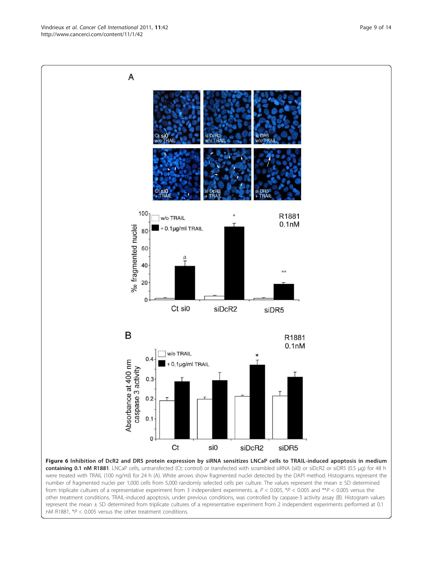<span id="page-9-0"></span>

containing 0.1 nM R1881. LNCaP cells, untransfected (Ct: control) or transfected with scrambled siRNA (si0) or siDcR2 or siDR5 (0.5 μg) for 48 h were treated with TRAIL (100 ng/ml) for 24 h (A). White arrows show fragmented nuclei detected by the DAPI method. Histograms represent the number of fragmented nuclei per 1,000 cells from 5,000 randomly selected cells per culture. The values represent the mean ± SD determined from triplicate cultures of a representative experiment from 3 independent experiments. a, *P* < 0.005, \**P* < 0.005 and \*\**P* < 0.005 versus the other treatment conditions. TRAIL-induced apoptosis, under previous conditions, was controlled by caspase-3 activity assay (B). Histogram values represent the mean ± SD determined from triplicate cultures of a representative experiment from 2 independent experiments performed at 0.1 nM R1881, \**P* < 0.005 versus the other treatment conditions.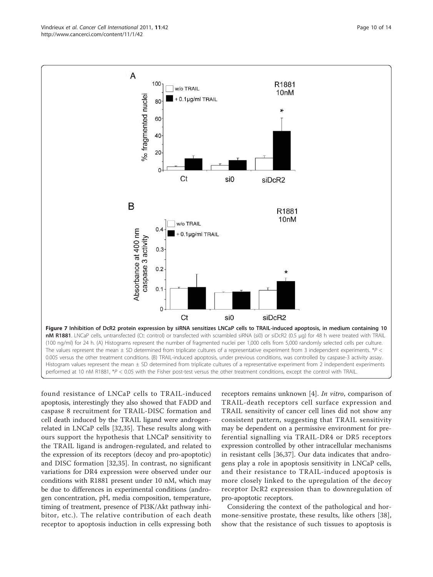found resistance of LNCaP cells to TRAIL-induced apoptosis, interestingly they also showed that FADD and caspase 8 recruitment for TRAIL-DISC formation and cell death induced by the TRAIL ligand were androgenrelated in LNCaP cells [\[32](#page-14-0),[35](#page-14-0)]. These results along with ours support the hypothesis that LNCaP sensitivity to the TRAIL ligand is androgen-regulated, and related to the expression of its receptors (decoy and pro-apoptotic) and DISC formation [[32,35](#page-14-0)]. In contrast, no significant variations for DR4 expression were observed under our conditions with R1881 present under 10 nM, which may be due to differences in experimental conditions (androgen concentration, pH, media composition, temperature, timing of treatment, presence of PI3K/Akt pathway inhibitor, etc.). The relative contribution of each death receptor to apoptosis induction in cells expressing both

receptors remains unknown [\[4](#page-13-0)]. In vitro, comparison of TRAIL-death receptors cell surface expression and TRAIL sensitivity of cancer cell lines did not show any consistent pattern, suggesting that TRAIL sensitivity may be dependent on a permissive environment for preferential signalling via TRAIL-DR4 or DR5 receptors expression controlled by other intracellular mechanisms in resistant cells [\[36,37](#page-14-0)]. Our data indicates that androgens play a role in apoptosis sensitivity in LNCaP cells, and their resistance to TRAIL-induced apoptosis is more closely linked to the upregulation of the decoy receptor DcR2 expression than to downregulation of pro-apoptotic receptors.

Considering the context of the pathological and hormone-sensitive prostate, these results, like others [[38](#page-14-0)], show that the resistance of such tissues to apoptosis is

R1881 10<sub>nM</sub> w/o TRAIL  $\Omega$ Absorbance at 400 nm 0.1µg/ml TRAIL caspase 3 activity  $0.3$  $0.2$  $0.1$  $\Omega$ Ct si0 siDcR2 Figure 7 Inhibition of DcR2 protein expression by siRNA sensitizes LNCaP cells to TRAIL-induced apoptosis, in medium containing 10 nM R1881. LNCaP cells, untransfected (Ct: control) or transfected with scrambled siRNA (si0) or siDcR2 (0.5 μg) for 48 h were treated with TRAIL (100 ng/ml) for 24 h. (A) Histograms represent the number of fragmented nuclei per 1,000 cells from 5,000 randomly selected cells per culture. The values represent the mean ± SD determined from triplicate cultures of a representative experiment from 3 independent experiments. \**P* < 0.005 versus the other treatment conditions. (B) TRAIL-induced apoptosis, under previous conditions, was controlled by caspase-3 activity assay. Histogram values represent the mean  $\pm$  SD determined from triplicate cultures of a representative experiment from 2 independent experiments performed at 10 nM R1881, \**P* < 0.05 with the Fisher post-test versus the other treatment conditions, except the control with TRAIL.

<span id="page-10-0"></span>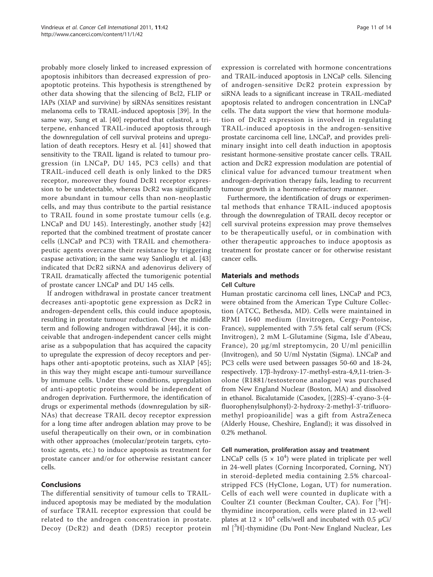probably more closely linked to increased expression of apoptosis inhibitors than decreased expression of proapoptotic proteins. This hypothesis is strengthened by other data showing that the silencing of Bcl2, FLIP or IAPs (XIAP and survivine) by siRNAs sensitizes resistant melanoma cells to TRAIL-induced apoptosis [\[39](#page-14-0)]. In the same way, Sung et al. [[40\]](#page-14-0) reported that celastrol, a triterpene, enhanced TRAIL-induced apoptosis through the downregulation of cell survival proteins and upregulation of death receptors. Hesry et al. [\[41\]](#page-14-0) showed that sensitivity to the TRAIL ligand is related to tumour progression (in LNCaP, DU 145, PC3 cells) and that TRAIL-induced cell death is only linked to the DR5 receptor, moreover they found DcR1 receptor expression to be undetectable, whereas DcR2 was significantly more abundant in tumour cells than non-neoplastic cells, and may thus contribute to the partial resistance to TRAIL found in some prostate tumour cells (e.g. LNCaP and DU 145). Interestingly, another study [\[42](#page-14-0)] reported that the combined treatment of prostate cancer cells (LNCaP and PC3) with TRAIL and chemotherapeutic agents overcame their resistance by triggering caspase activation; in the same way Sanlioglu et al. [\[43](#page-14-0)] indicated that DcR2 siRNA and adenovirus delivery of TRAIL dramatically affected the tumorigenic potential of prostate cancer LNCaP and DU 145 cells.

If androgen withdrawal in prostate cancer treatment decreases anti-apoptotic gene expression as DcR2 in androgen-dependent cells, this could induce apoptosis, resulting in prostate tumour reduction. Over the middle term and following androgen withdrawal [\[44](#page-14-0)], it is conceivable that androgen-independent cancer cells might arise as a subpopulation that has acquired the capacity to upregulate the expression of decoy receptors and per-haps other anti-apoptotic proteins, such as XIAP [[45](#page-14-0)]; in this way they might escape anti-tumour surveillance by immune cells. Under these conditions, upregulation of anti-apoptotic proteins would be independent of androgen deprivation. Furthermore, the identification of drugs or experimental methods (downregulation by siR-NAs) that decrease TRAIL decoy receptor expression for a long time after androgen ablation may prove to be useful therapeutically on their own, or in combination with other approaches (molecular/protein targets, cytotoxic agents, etc.) to induce apoptosis as treatment for prostate cancer and/or for otherwise resistant cancer cells.

#### Conclusions

The differential sensitivity of tumour cells to TRAILinduced apoptosis may be mediated by the modulation of surface TRAIL receptor expression that could be related to the androgen concentration in prostate. Decoy (DcR2) and death (DR5) receptor protein

expression is correlated with hormone concentrations and TRAIL-induced apoptosis in LNCaP cells. Silencing of androgen-sensitive DcR2 protein expression by siRNA leads to a significant increase in TRAIL-mediated apoptosis related to androgen concentration in LNCaP cells. The data support the view that hormone modulation of DcR2 expression is involved in regulating TRAIL-induced apoptosis in the androgen-sensitive prostate carcinoma cell line, LNCaP, and provides preliminary insight into cell death induction in apoptosis resistant hormone-sensitive prostate cancer cells. TRAIL action and DcR2 expression modulation are potential of clinical value for advanced tumour treatment when androgen-deprivation therapy fails, leading to recurrent tumour growth in a hormone-refractory manner.

Furthermore, the identification of drugs or experimental methods that enhance TRAIL-induced apoptosis through the downregulation of TRAIL decoy receptor or cell survival proteins expression may prove themselves to be therapeutically useful, or in combination with other therapeutic approaches to induce apoptosis as treatment for prostate cancer or for otherwise resistant cancer cells.

## Materials and methods

#### Cell Culture

Human prostatic carcinoma cell lines, LNCaP and PC3, were obtained from the American Type Culture Collection (ATCC, Bethesda, MD). Cells were maintained in RPMI 1640 medium (Invitrogen, Cergy-Pontoise, France), supplemented with 7.5% fetal calf serum (FCS; Invitrogen), 2 mM L-Glutamine (Sigma, Isle d'Abeau, France), 20 μg/ml streptomycin, 20 U/ml penicillin (Invitrogen), and 50 U/ml Nystatin (Sigma). LNCaP and PC3 cells were used between passages 50-60 and 18-24, respectively. 17b-hydroxy-17-methyl-estra-4,9,11-trien-3 olone (R1881/testosterone analogue) was purchased from New England Nuclear (Boston, MA) and dissolved in ethanol. Bicalutamide (Casodex, [(2RS)-4'-cyano-3-(4 fluorophenylsulphonyl)-2-hydroxy-2-methyl-3'-trifluoromethyl propioanilide] was a gift from AstraZeneca (Alderly House, Cheshire, England); it was dissolved in 0.2% methanol.

#### Cell numeration, proliferation assay and treatment

LNCaP cells (5  $\times$  10<sup>4</sup>) were plated in triplicate per well in 24-well plates (Corning Incorporated, Corning, NY) in steroid-depleted media containing 2.5% charcoalstripped FCS (HyClone, Logan, UT) for numeration. Cells of each well were counted in duplicate with a Coulter Z1 counter (Beckman Coulter, CA). For  $[{}^{3}H]$ thymidine incorporation, cells were plated in 12-well plates at  $12 \times 10^4$  cells/well and incubated with 0.5 µCi/ ml [3H]-thymidine (Du Pont-New England Nuclear, Les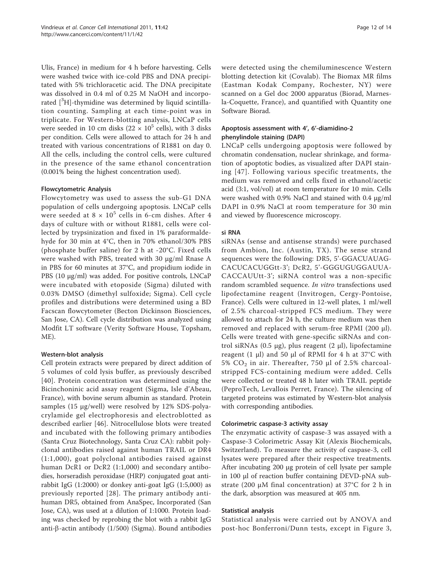Ulis, France) in medium for 4 h before harvesting. Cells were washed twice with ice-cold PBS and DNA precipitated with 5% trichloracetic acid. The DNA precipitate was dissolved in 0.4 ml of 0.25 M NaOH and incorporated  $[{}^{3}H]$ -thymidine was determined by liquid scintillation counting. Sampling at each time-point was in triplicate. For Western-blotting analysis, LNCaP cells were seeded in 10 cm disks (22  $\times$  10<sup>5</sup> cells), with 3 disks per condition. Cells were allowed to attach for 24 h and treated with various concentrations of R1881 on day 0. All the cells, including the control cells, were cultured in the presence of the same ethanol concentration (0.001% being the highest concentration used).

#### Flowcytometric Analysis

Flowcytometry was used to assess the sub-G1 DNA population of cells undergoing apoptosis. LNCaP cells were seeded at 8  $\times$   $10^5$  cells in 6-cm dishes. After 4 days of culture with or without R1881, cells were collected by trypsinization and fixed in 1% paraformaldehyde for 30 min at 4°C, then in 70% ethanol/30% PBS (phosphate buffer saline) for 2 h at -20°C. Fixed cells were washed with PBS, treated with 30 μg/ml Rnase A in PBS for 60 minutes at 37°C, and propidium iodide in PBS (10 μg/ml) was added. For positive controls, LNCaP were incubated with etoposide (Sigma) diluted with 0.03% DMSO (dimethyl sulfoxide; Sigma). Cell cycle profiles and distributions were determined using a BD Facscan flowcytometer (Becton Dickinson Biosciences, San Jose, CA). Cell cycle distribution was analyzed using Modfit LT software (Verity Software House, Topsham, ME).

#### Western-blot analysis

Cell protein extracts were prepared by direct addition of 5 volumes of cold lysis buffer, as previously described [[40](#page-14-0)]. Protein concentration was determined using the Bicinchoninic acid assay reagent (Sigma, Isle d'Abeau, France), with bovine serum albumin as standard. Protein samples (15 μg/well) were resolved by 12% SDS-polyacrylamide gel electrophoresis and electroblotted as described earlier [[46](#page-14-0)]. Nitrocellulose blots were treated and incubated with the following primary antibodies (Santa Cruz Biotechnology, Santa Cruz CA): rabbit polyclonal antibodies raised against human TRAIL or DR4 (1:1,000), goat polyclonal antibodies raised against human DcR1 or DcR2 (1:1,000) and secondary antibodies, horseradish peroxidase (HRP) conjugated goat antirabbit IgG (1:2000) or donkey anti-goat IgG (1:5,000) as previously reported [[28](#page-14-0)]. The primary antibody antihuman DR5, obtained from AnaSpec, Incorporated (San Jose, CA), was used at a dilution of 1:1000. Protein loading was checked by reprobing the blot with a rabbit IgG anti- $\beta$ -actin antibody (1/500) (Sigma). Bound antibodies were detected using the chemiluminescence Western blotting detection kit (Covalab). The Biomax MR films (Eastman Kodak Company, Rochester, NY) were scanned on a Gel doc 2000 apparatus (Biorad, Marnesla-Coquette, France), and quantified with Quantity one Software Biorad.

#### Apoptosis assessment with 4', 6'-diamidino-2 phenylindole staining (DAPI)

LNCaP cells undergoing apoptosis were followed by chromatin condensation, nuclear shrinkage, and formation of apoptotic bodies, as visualized after DAPI staining [[47](#page-14-0)]. Following various specific treatments, the medium was removed and cells fixed in ethanol/acetic acid (3:1, vol/vol) at room temperature for 10 min. Cells were washed with 0.9% NaCl and stained with 0.4 μg/ml DAPI in 0.9% NaCl at room temperature for 30 min and viewed by fluorescence microscopy.

#### si RNA

siRNAs (sense and antisense strands) were purchased from Ambion, Inc. (Austin, TX). The sense strand sequences were the following: DR5, 5'-GGACUAUAG-CACUCACUGGtt-3'; DcR2, 5'-GGGUGUGGAUUA-CACCAUUtt-3'; siRNA control was a non-specific random scrambled sequence. In vitro transfections used lipofectamine reagent (Invitrogen, Cergy-Pontoise, France). Cells were cultured in 12-well plates, 1 ml/well of 2.5% charcoal-stripped FCS medium. They were allowed to attach for 24 h, the culture medium was then removed and replaced with serum-free RPMI (200 μl). Cells were treated with gene-specific siRNAs and control siRNAs (0.5 μg), plus reagent (2 μl), lipofectamine reagent (1 μl) and 50 μl of RPMI for 4 h at  $37^{\circ}$ C with 5%  $CO<sub>2</sub>$  in air. Thereafter, 750 μl of 2.5% charcoalstripped FCS-containing medium were added. Cells were collected or treated 48 h later with TRAIL peptide (PeproTech, Levallois Perret, France). The silencing of targeted proteins was estimated by Western-blot analysis with corresponding antibodies.

#### Colorimetric caspase-3 activity assay

The enzymatic activity of caspase-3 was assayed with a Caspase-3 Colorimetric Assay Kit (Alexis Biochemicals, Switzerland). To measure the activity of caspase-3, cell lysates were prepared after their respective treatments. After incubating 200 μg protein of cell lysate per sample in 100 μl of reaction buffer containing DEVD-pNA substrate (200 μM final concentration) at 37°C for 2 h in the dark, absorption was measured at 405 nm.

#### Statistical analysis

Statistical analysis were carried out by ANOVA and post-hoc Bonferroni/Dunn tests, except in Figure [3](#page-6-0),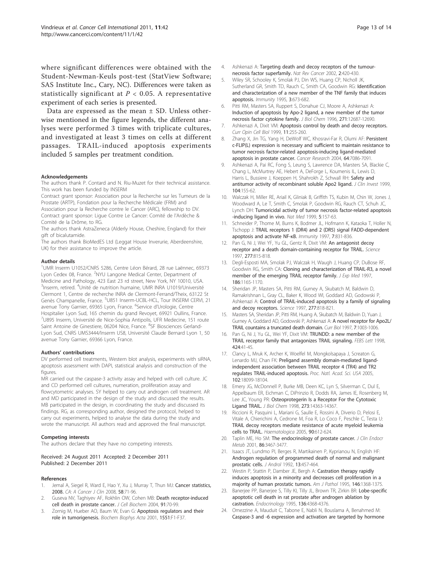<span id="page-13-0"></span>where significant differences were obtained with the Student-Newman-Keuls post-test (StatView Software; SAS Institute Inc., Cary, NC). Differences were taken as statistically significant at  $P < 0.05$ . A representative experiment of each series is presented.

Data are expressed as the mean ± SD. Unless otherwise mentioned in the figure legends, the different analyses were performed 3 times with triplicate cultures, and investigated at least 3 times on cells at different passages. TRAIL-induced apoptosis experiments included 5 samples per treatment condition.

#### Acknowledgements

The authors thank P. Contard and N. Riu-Muzet for their technical assistance. This work has been funded by INSERM

Contract grant sponsor: Association pour la Recherche sur les Tumeurs de la Prostate (ARTP), Fondation pour la Recherche Médicale (FRM) and Association pour la Recherche contre le Cancer (ARC), fellowship to DV.

Contract grant sponsor: Ligue Contre Le Cancer: Comité de l'Ardèche & Comité de la Drôme, to RG.

The authors thank AstraZeneca (Alderly House, Cheshire, England) for their gift of bicalutamide.

The authors thank BioMedES Ltd (Leggat House Inverurie, Aberdeenshire, UK) for their assistance to improve the article.

#### Author details

<sup>1</sup>UMR Inserm U1052/CNRS 5286, Centre Léon Bérard, 28 rue Laënnec, 69373 Lyon Cedex 08, France. <sup>2</sup>NYU Langone Medical Center, Department of Medicine and Pathology, 423 East 23 rd street, New York, NY 10010, USA. <sup>3</sup>Inserm, retired. <sup>4</sup>Unité de nutrition humaine, UMR INRA U1019/Université Clermont 1, Centre de recherche INRA de Clermont-Ferrand/Theix, 63122 St Genès Champanelle, France. <sup>5</sup>U851 Inserm-UCBL-HCL, Tour INSERM CERVI, 21 avenue Tony Garnier, 69365 Lyon, France. <sup>6</sup>Service d'Urologie, Centre Hospitalier Lyon Sud, 165 chemin du grand Revoyet, 69921 Oullins, France. <sup>7</sup>U895 Inserm, Université de Nice-Sophia Antipolis, UFR Medecine, 151 route Saint Antoine de Ginestiere, 06204 Nice, France. <sup>8</sup>SF Biosciences Gerland-Lyon Sud, CNRS UMS3444/Inserm US8, Université Claude Bernard Lyon 1, 50 avenue Tony Garnier, 69366 Lyon, France.

#### Authors' contributions

DV performed cell treatments, Western blot analysis, experiments with siRNA, apoptosis assessment with DAPI, statistical analysis and construction of the figures.

MR carried out the caspase-3 activity assay and helped with cell culture. JC and CD performed cell cultures, numeration, proliferation assay and flowcytometric analyses. SY helped to carry out androgen cell treatment. AR and MD participated in the design of the study and discussed the results. MB participated in the design, in coordinating the study and discussed its findings. RG, as corresponding author, designed the protocol, helped to carry out experiments, helped to analyse the data during the study and wrote the manuscript. All authors read and approved the final manuscript.

#### Competing interests

The authors declare that they have no competing interests.

#### Received: 24 August 2011 Accepted: 2 December 2011 Published: 2 December 2011

#### References

- 1. Jemal A, Siegel R, Ward E, Hao Y, Xu J, Murray T, Thun MJ: Cancer statistics, 2008. *CA: A Cancer J Clin* 2008, 58:71-96.
- 2. Guseva NV, Taghiyev AF, Rokhlin OW, Cohen MB: [Death receptor-induced](http://www.ncbi.nlm.nih.gov/pubmed/14689583?dopt=Abstract) [cell death in prostate cancer.](http://www.ncbi.nlm.nih.gov/pubmed/14689583?dopt=Abstract) *J Cell Biochem* 2004, 91:70-99.
- Zornig M, Hueber AO, Baum W, Evan G: [Apoptosis regulators and their](http://www.ncbi.nlm.nih.gov/pubmed/11591448?dopt=Abstract) [role in tumorigenesis.](http://www.ncbi.nlm.nih.gov/pubmed/11591448?dopt=Abstract) *Biochem Biophys Acta* 2001, 1551:F1-F37.
- 4. Ashkenazi A: [Targeting death and decoy receptors of the tumour](http://www.ncbi.nlm.nih.gov/pubmed/12189384?dopt=Abstract)[necrosis factor superfamily.](http://www.ncbi.nlm.nih.gov/pubmed/12189384?dopt=Abstract) *Nat Rev Cancer* 2002, 2:420-430.
- 5. Wiley SR, Schooley K, Smolak PJ, Din WS, Huang CP, Nicholl JK, Sutherland GR, Smith TD, Rauch C, Smith CA, Goodwin RG: [Identification](http://www.ncbi.nlm.nih.gov/pubmed/8777713?dopt=Abstract) [and characterization of a new member of the TNF family that induces](http://www.ncbi.nlm.nih.gov/pubmed/8777713?dopt=Abstract) [apoptosis.](http://www.ncbi.nlm.nih.gov/pubmed/8777713?dopt=Abstract) *Immunity* 1995, 3:673-682.
- 6. Pitti RM, Masters SA, Ruppert S, Donahue CJ, Moore A, Ashkenazi A: [Induction of apoptosis by Apo-2 ligand, a new member of the tumor](http://www.ncbi.nlm.nih.gov/pubmed/8663110?dopt=Abstract) [necrosis factor cytokine family.](http://www.ncbi.nlm.nih.gov/pubmed/8663110?dopt=Abstract) *J Biol Chem* 1996, 271:12687-12690.
- 7. Ashkenazi A, Dixit VM: [Apoptosis control by death and decoy receptors.](http://www.ncbi.nlm.nih.gov/pubmed/10209153?dopt=Abstract) *Curr Opin Cell Biol* 1999, 11:255-260.
- 8. Zhang X, Jin TG, Yang H, DeWolf WC, Khosravi-Far R, Olumi AF: [Persistent](http://www.ncbi.nlm.nih.gov/pubmed/15466204?dopt=Abstract) [c-FLIP\(L\) expression is necessary and sufficient to maintain resistance to](http://www.ncbi.nlm.nih.gov/pubmed/15466204?dopt=Abstract) [tumor necrosis factor-related apoptosis-inducing ligand-mediated](http://www.ncbi.nlm.nih.gov/pubmed/15466204?dopt=Abstract) [apoptosis in prostate cancer.](http://www.ncbi.nlm.nih.gov/pubmed/15466204?dopt=Abstract) *Cancer Research* 2004, 64:7086-7091.
- 9. Ashkenazi A, Pai RC, Fong S, Leung S, Lawrence DA, Marsters SA, Blackie C, Chang L, McMurtrey AE, Hebert A, DeForge L, Koumenis IL, Lewis D, Harris L, Bussiere J, Koeppen H, Shahrokh Z, Schwall RH: [Safety and](http://www.ncbi.nlm.nih.gov/pubmed/10411544?dopt=Abstract) [antitumor activity of recombinant soluble Apo2 ligand.](http://www.ncbi.nlm.nih.gov/pubmed/10411544?dopt=Abstract) *J Clin Invest* 1999, 104:155-62.
- 10. Walczak H, Miller RE, Ariail K, Gliniak B, Griffith TS, Kubin M, Chin W, Jones J, Woodward A, Le T, Smith C, Smolak P, Goodwin RG, Rauch CT, Schuh JC, Lynch DH: [Tumoricidal activity of tumor necrosis factor-related apoptosis](http://www.ncbi.nlm.nih.gov/pubmed/9930862?dopt=Abstract) [-inducing ligand in vivo.](http://www.ncbi.nlm.nih.gov/pubmed/9930862?dopt=Abstract) *Nat Med* 1999, 5:157-63.
- 11. Schneider P, Thome M, Burns K, Bodmer JL, Hofmann K, Kataoka T, Holler N, Tschopp J: [TRAIL receptors 1 \(DR4\) and 2 \(DR5\) signal FADD-dependent](http://www.ncbi.nlm.nih.gov/pubmed/9430228?dopt=Abstract) [apoptosis and activate NF-](http://www.ncbi.nlm.nih.gov/pubmed/9430228?dopt=Abstract)κB. *Immunity* 1997, 7:831-836.
- 12. Pan G, Ni J, Wei YF, Yu GL, Gentz R, Dixit VM: [An antagonist decoy](http://www.ncbi.nlm.nih.gov/pubmed/9242610?dopt=Abstract) [receptor and a death domain-containing receptor for TRAIL.](http://www.ncbi.nlm.nih.gov/pubmed/9242610?dopt=Abstract) *Science* 1997, 277:815-818.
- 13. Degli-Esposti MA, Smolak PJ, Walczak H, Waugh J, Huang CP, DuBose RF, Goodwin RG, Smith CA: [Cloning and characterization of TRAIL-R3, a novel](http://www.ncbi.nlm.nih.gov/pubmed/9314565?dopt=Abstract) [member of the emerging TRAIL receptor family.](http://www.ncbi.nlm.nih.gov/pubmed/9314565?dopt=Abstract) *J Exp Med* 1997, 186:1165-1170.
- 14. Sheridan JP, Masters SA, Pitti RM, Gurney A, Skubatch M, Baldwin D, Ramakrishnan L, Gray CL, Baker K, Wood WI, Goddard AD, Godowski P, Ashkenazi A: [Control of TRAIL-induced apoptosis by a family of signaling](http://www.ncbi.nlm.nih.gov/pubmed/9242611?dopt=Abstract) [and decoy receptors.](http://www.ncbi.nlm.nih.gov/pubmed/9242611?dopt=Abstract) *Science* 1997, 277:818-821.
- 15. Masters SA, Sheridan JP, Pitti RM, Huang A, Skubatch M, Baldwin D, Yuan J, Gurney A, Goddard AD, Godowski P, Ashkenazi A: [A novel receptor for Apo2L/](http://www.ncbi.nlm.nih.gov/pubmed/9382840?dopt=Abstract) [TRAIL countains a truncated death domain.](http://www.ncbi.nlm.nih.gov/pubmed/9382840?dopt=Abstract) *Curr Biol* 1997, 7:1003-1006.
- 16. Pan G, Ni J, Yu GL, Wei YF, Dixit VM: [TRUNDD: a new member of the](http://www.ncbi.nlm.nih.gov/pubmed/9537512?dopt=Abstract) [TRAIL receptor family that antagonizes TRAIL signaling.](http://www.ncbi.nlm.nih.gov/pubmed/9537512?dopt=Abstract) *FEBS Lett* 1998, 424:41-45.
- 17. Clancy L, Mruk K, Archer K, Woelfel M, Mongkolsapaya J, Screaton G, Lenardo MJ, Chan FK: [Preligand assembly domain-mediated ligand](http://www.ncbi.nlm.nih.gov/pubmed/16319225?dopt=Abstract)[independent association between TRAIL receptor 4 \(TR4\) and TR2](http://www.ncbi.nlm.nih.gov/pubmed/16319225?dopt=Abstract) [regulates TRAIL-induced apoptosis.](http://www.ncbi.nlm.nih.gov/pubmed/16319225?dopt=Abstract) *Proc. Natl. Acad. Sci. USA* 2005, 102:18099-18104.
- 18. Emery JG, McDonnell P, Burke MB, Deen KC, Lyn S, Silverman C, Dul E, Appelbaum ER, Eichman C, DiPrinzio R, Dodds RA, James IE, Rosenberg M, Lee JC, Young PR: [Osteoprotegerin Is a Receptor For the Cytotoxic](http://www.ncbi.nlm.nih.gov/pubmed/9603945?dopt=Abstract) [Ligand TRAIL.](http://www.ncbi.nlm.nih.gov/pubmed/9603945?dopt=Abstract) *J Biol Chem* 1998, 273:14363-14367.
- 19. Riccioni R, Pasquini L, Mariani G, Saulle E, Rossini A, Diverio D, Pelosi E, Vitale A, Chierichini A, Cedrone M, Foa R, Lo Coco F, Peschle C, Testa U: [TRAIL decoy receptors mediate resistance of acute myeloid leukemia](http://www.ncbi.nlm.nih.gov/pubmed/15921376?dopt=Abstract) [cells to TRAIL.](http://www.ncbi.nlm.nih.gov/pubmed/15921376?dopt=Abstract) *Haematologica* 2005, 90:612-624.
- 20. Taplin ME, Ho SM: [The endocrinology of prostate cancer.](http://www.ncbi.nlm.nih.gov/pubmed/11502765?dopt=Abstract) *J Clin Endocr Metab* 2001, 86:3467-3477.
- 21. Isaacs JT, Lundmo PI, Berges R, Martikainen P, Kyprianou N, English HF: [Androgen regulation of programmed death of normal and malignant](http://www.ncbi.nlm.nih.gov/pubmed/1293127?dopt=Abstract) [prostatic cells.](http://www.ncbi.nlm.nih.gov/pubmed/1293127?dopt=Abstract) *J Androl* 1992, 13:457-464.
- 22. Westin P, Stattin P, Damber JE, Bergh A: [Castration therapy rapidly](http://www.ncbi.nlm.nih.gov/pubmed/7778676?dopt=Abstract) [induces apoptosis in a minority and decreases cell proliferation in a](http://www.ncbi.nlm.nih.gov/pubmed/7778676?dopt=Abstract) [majority of human prostatic tumors.](http://www.ncbi.nlm.nih.gov/pubmed/7778676?dopt=Abstract) *Am J Pathol* 1995, 146:1368-1375.
- 23. Banerjee PP, Banerjee S, Tilly KI, Tilly JL, Brown TR, Zirkin BR: [Lobe-specific](http://www.ncbi.nlm.nih.gov/pubmed/7664656?dopt=Abstract) [apoptotic cell death in rat prostate after androgen ablation by](http://www.ncbi.nlm.nih.gov/pubmed/7664656?dopt=Abstract) [castration.](http://www.ncbi.nlm.nih.gov/pubmed/7664656?dopt=Abstract) *Endocrinology* 1995, 136:4368-4376.
- 24. Omezzine A, Mauduit C, Tabone E, Nabli N, Bouslama A, Benahmed M: [Caspase-3 and -6 expression and activation are targeted by hormone](http://www.ncbi.nlm.nih.gov/pubmed/12724284?dopt=Abstract)